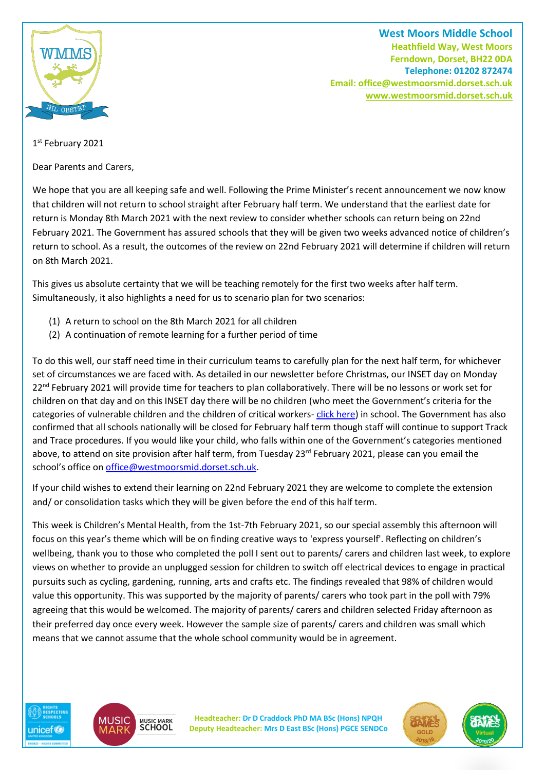

**West Moors Middle School Heathfield Way, West Moors Ferndown, Dorset, BH22 0DA Telephone: 01202 872474 Email[: office@westmoorsmid.dorset.sch.uk](mailto:office@westmoorsmid.dorset.sch.uk) www.westmoorsmid.dorset.sch.uk**

## 1st February 2021

Dear Parents and Carers,

We hope that you are all keeping safe and well. Following the Prime Minister's recent announcement we now know that children will not return to school straight after February half term. We understand that the earliest date for return is Monday 8th March 2021 with the next review to consider whether schools can return being on 22nd February 2021. The Government has assured schools that they will be given two weeks advanced notice of children's return to school. As a result, the outcomes of the review on 22nd February 2021 will determine if children will return on 8th March 2021.

This gives us absolute certainty that we will be teaching remotely for the first two weeks after half term. Simultaneously, it also highlights a need for us to scenario plan for two scenarios:

- (1) A return to school on the 8th March 2021 for all children
- (2) A continuation of remote learning for a further period of time

To do this well, our staff need time in their curriculum teams to carefully plan for the next half term, for whichever set of circumstances we are faced with. As detailed in our newsletter before Christmas, our INSET day on Monday 22<sup>nd</sup> February 2021 will provide time for teachers to plan collaboratively. There will be no lessons or work set for children on that day and on this INSET day there will be no children (who meet the Government's criteria for the categories of vulnerable children and the children of critical workers- [click here\)](https://www.gov.uk/government/publications/coronavirus-covid-19-maintaining-educational-provision/guidance-for-schools-colleges-and-local-authorities-on-maintaining-educational-provision) in school. The Government has also confirmed that all schools nationally will be closed for February half term though staff will continue to support Track and Trace procedures. If you would like your child, who falls within one of the Government's categories mentioned above, to attend on site provision after half term, from Tuesday 23<sup>rd</sup> February 2021, please can you email the school's office on [office@westmoorsmid.dorset.sch.uk.](mailto:office@westmoorsmid.dorset.sch.uk)

If your child wishes to extend their learning on 22nd February 2021 they are welcome to complete the extension and/ or consolidation tasks which they will be given before the end of this half term.

This week is Children's Mental Health, from the 1st-7th February 2021, so our special assembly this afternoon will focus on this year's theme which will be on finding creative ways to 'express yourself'. Reflecting on children's wellbeing, thank you to those who completed the poll I sent out to parents/ carers and children last week, to explore views on whether to provide an unplugged session for children to switch off electrical devices to engage in practical pursuits such as cycling, gardening, running, arts and crafts etc. The findings revealed that 98% of children would value this opportunity. This was supported by the majority of parents/ carers who took part in the poll with 79% agreeing that this would be welcomed. The majority of parents/ carers and children selected Friday afternoon as their preferred day once every week. However the sample size of parents/ carers and children was small which means that we cannot assume that the whole school community would be in agreement.





**Headteacher: Dr D Craddock PhD MA BSc (Hons) NPQH Deputy Headteacher: Mrs D East BSc (Hons) PGCE SENDCo**